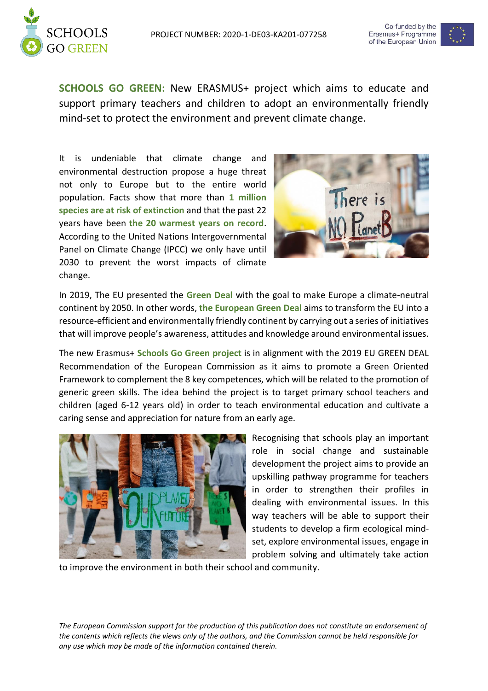



**SCHOOLS GO GREEN:** New ERASMUS+ project which aims to educate and support primary teachers and children to adopt an environmentally friendly mind-set to protect the environment and prevent climate change.

It is undeniable that climate change and environmental destruction propose a huge threat not only to Europe but to the entire world population. Facts show that more than **1 million species are at risk of extinction** and that the past 22 years have been **the 20 warmest years on record**. According to the United Nations Intergovernmental Panel on Climate Change (IPCC) we only have until 2030 to prevent the worst impacts of climate change.



In 2019, The EU presented the **Green Deal** with the goal to make Europe a climate-neutral continent by 2050. In other words, **the European Green Deal** aims to transform the EU into a resource-efficient and environmentally friendly continent by carrying out a series of initiatives that will improve people's awareness, attitudes and knowledge around environmental issues.

The new Erasmus+ **Schools Go Green project** is in alignment with the 2019 EU GREEN DEAL Recommendation of the European Commission as it aims to promote a Green Oriented Framework to complement the 8 key competences, which will be related to the promotion of generic green skills. The idea behind the project is to target primary school teachers and children (aged 6-12 years old) in order to teach environmental education and cultivate a caring sense and appreciation for nature from an early age.



Recognising that schools play an important role in social change and sustainable development the project aims to provide an upskilling pathway programme for teachers in order to strengthen their profiles in dealing with environmental issues. In this way teachers will be able to support their students to develop a firm ecological mindset, explore environmental issues, engage in problem solving and ultimately take action

to improve the environment in both their school and community.

*The European Commission support for the production of this publication does not constitute an endorsement of the contents which reflects the views only of the authors, and the Commission cannot be held responsible for any use which may be made of the information contained therein.*